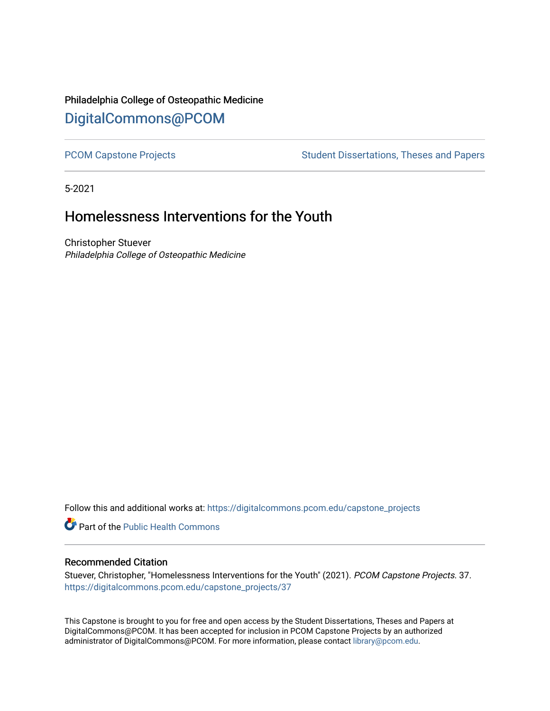# Philadelphia College of Osteopathic Medicine [DigitalCommons@PCOM](https://digitalcommons.pcom.edu/)

[PCOM Capstone Projects](https://digitalcommons.pcom.edu/capstone_projects) **Student Dissertations, Theses and Papers** Student Dissertations, Theses and Papers

5-2021

# Homelessness Interventions for the Youth

Christopher Stuever Philadelphia College of Osteopathic Medicine

Follow this and additional works at: [https://digitalcommons.pcom.edu/capstone\\_projects](https://digitalcommons.pcom.edu/capstone_projects?utm_source=digitalcommons.pcom.edu%2Fcapstone_projects%2F37&utm_medium=PDF&utm_campaign=PDFCoverPages)

**C** Part of the Public Health Commons

## Recommended Citation

Stuever, Christopher, "Homelessness Interventions for the Youth" (2021). PCOM Capstone Projects. 37. [https://digitalcommons.pcom.edu/capstone\\_projects/37](https://digitalcommons.pcom.edu/capstone_projects/37?utm_source=digitalcommons.pcom.edu%2Fcapstone_projects%2F37&utm_medium=PDF&utm_campaign=PDFCoverPages) 

This Capstone is brought to you for free and open access by the Student Dissertations, Theses and Papers at DigitalCommons@PCOM. It has been accepted for inclusion in PCOM Capstone Projects by an authorized administrator of DigitalCommons@PCOM. For more information, please contact [library@pcom.edu.](mailto:library@pcom.edu)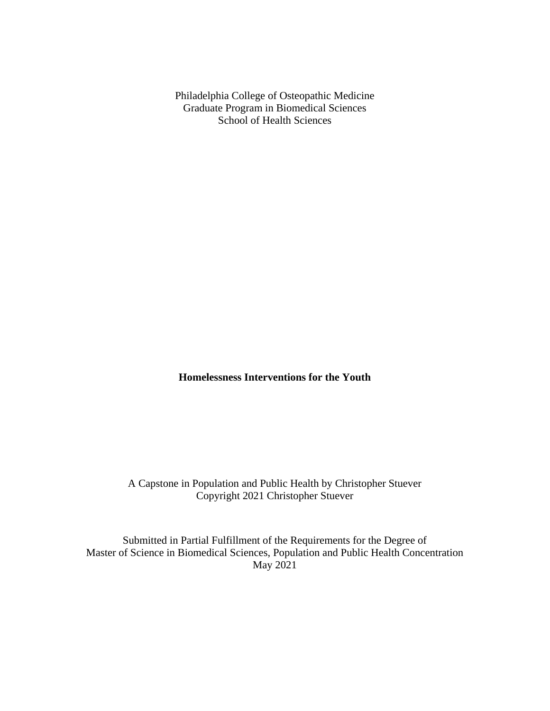Philadelphia College of Osteopathic Medicine Graduate Program in Biomedical Sciences School of Health Sciences

**Homelessness Interventions for the Youth**

A Capstone in Population and Public Health by Christopher Stuever Copyright 2021 Christopher Stuever

Submitted in Partial Fulfillment of the Requirements for the Degree of Master of Science in Biomedical Sciences, Population and Public Health Concentration May 2021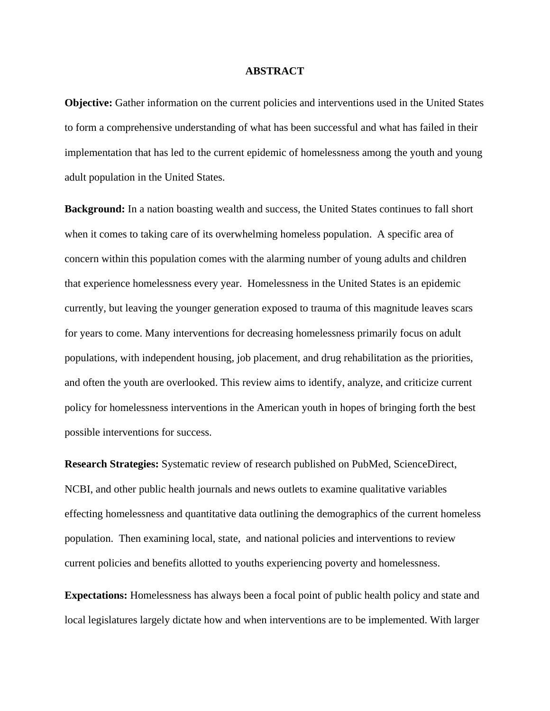#### **ABSTRACT**

**Objective:** Gather information on the current policies and interventions used in the United States to form a comprehensive understanding of what has been successful and what has failed in their implementation that has led to the current epidemic of homelessness among the youth and young adult population in the United States.

**Background:** In a nation boasting wealth and success, the United States continues to fall short when it comes to taking care of its overwhelming homeless population. A specific area of concern within this population comes with the alarming number of young adults and children that experience homelessness every year. Homelessness in the United States is an epidemic currently, but leaving the younger generation exposed to trauma of this magnitude leaves scars for years to come. Many interventions for decreasing homelessness primarily focus on adult populations, with independent housing, job placement, and drug rehabilitation as the priorities, and often the youth are overlooked. This review aims to identify, analyze, and criticize current policy for homelessness interventions in the American youth in hopes of bringing forth the best possible interventions for success.

**Research Strategies:** Systematic review of research published on PubMed, ScienceDirect, NCBI, and other public health journals and news outlets to examine qualitative variables effecting homelessness and quantitative data outlining the demographics of the current homeless population. Then examining local, state, and national policies and interventions to review current policies and benefits allotted to youths experiencing poverty and homelessness.

**Expectations:** Homelessness has always been a focal point of public health policy and state and local legislatures largely dictate how and when interventions are to be implemented. With larger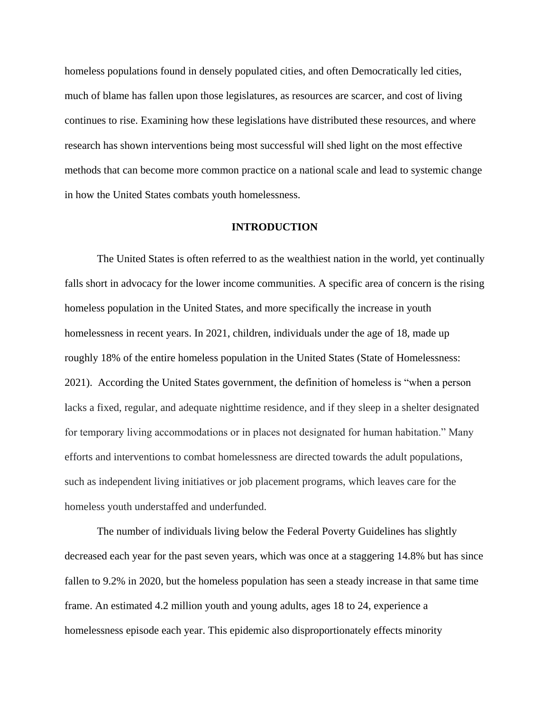homeless populations found in densely populated cities, and often Democratically led cities, much of blame has fallen upon those legislatures, as resources are scarcer, and cost of living continues to rise. Examining how these legislations have distributed these resources, and where research has shown interventions being most successful will shed light on the most effective methods that can become more common practice on a national scale and lead to systemic change in how the United States combats youth homelessness.

#### **INTRODUCTION**

The United States is often referred to as the wealthiest nation in the world, yet continually falls short in advocacy for the lower income communities. A specific area of concern is the rising homeless population in the United States, and more specifically the increase in youth homelessness in recent years. In 2021, children, individuals under the age of 18, made up roughly 18% of the entire homeless population in the United States (State of Homelessness: 2021). According the United States government, the definition of homeless is "when a person lacks a fixed, regular, and adequate nighttime residence, and if they sleep in a shelter designated for temporary living accommodations or in places not designated for human habitation." Many efforts and interventions to combat homelessness are directed towards the adult populations, such as independent living initiatives or job placement programs, which leaves care for the homeless youth understaffed and underfunded.

The number of individuals living below the Federal Poverty Guidelines has slightly decreased each year for the past seven years, which was once at a staggering 14.8% but has since fallen to 9.2% in 2020, but the homeless population has seen a steady increase in that same time frame. An estimated 4.2 million youth and young adults, ages 18 to 24, experience a homelessness episode each year. This epidemic also disproportionately effects minority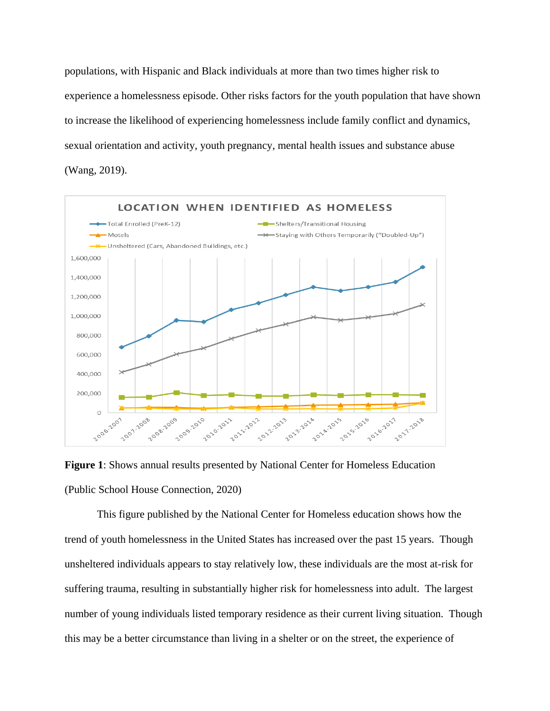populations, with Hispanic and Black individuals at more than two times higher risk to experience a homelessness episode. Other risks factors for the youth population that have shown to increase the likelihood of experiencing homelessness include family conflict and dynamics, sexual orientation and activity, youth pregnancy, mental health issues and substance abuse (Wang, 2019).



**Figure 1**: Shows annual results presented by National Center for Homeless Education (Public School House Connection, 2020)

This figure published by the National Center for Homeless education shows how the trend of youth homelessness in the United States has increased over the past 15 years. Though unsheltered individuals appears to stay relatively low, these individuals are the most at-risk for suffering trauma, resulting in substantially higher risk for homelessness into adult. The largest number of young individuals listed temporary residence as their current living situation. Though this may be a better circumstance than living in a shelter or on the street, the experience of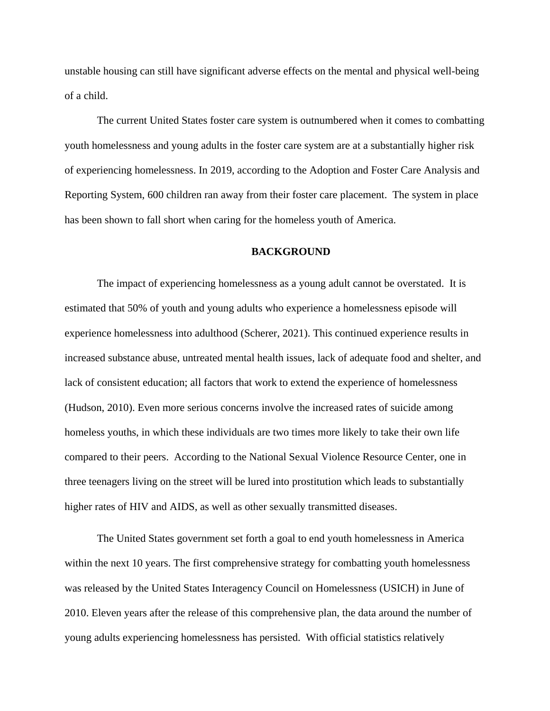unstable housing can still have significant adverse effects on the mental and physical well-being of a child.

The current United States foster care system is outnumbered when it comes to combatting youth homelessness and young adults in the foster care system are at a substantially higher risk of experiencing homelessness. In 2019, according to the Adoption and Foster Care Analysis and Reporting System, 600 children ran away from their foster care placement. The system in place has been shown to fall short when caring for the homeless youth of America.

## **BACKGROUND**

The impact of experiencing homelessness as a young adult cannot be overstated. It is estimated that 50% of youth and young adults who experience a homelessness episode will experience homelessness into adulthood (Scherer, 2021). This continued experience results in increased substance abuse, untreated mental health issues, lack of adequate food and shelter, and lack of consistent education; all factors that work to extend the experience of homelessness (Hudson, 2010). Even more serious concerns involve the increased rates of suicide among homeless youths, in which these individuals are two times more likely to take their own life compared to their peers. According to the National Sexual Violence Resource Center, one in three teenagers living on the street will be lured into prostitution which leads to substantially higher rates of HIV and AIDS, as well as other sexually transmitted diseases.

The United States government set forth a goal to end youth homelessness in America within the next 10 years. The first comprehensive strategy for combatting youth homelessness was released by the United States Interagency Council on Homelessness (USICH) in June of 2010. Eleven years after the release of this comprehensive plan, the data around the number of young adults experiencing homelessness has persisted. With official statistics relatively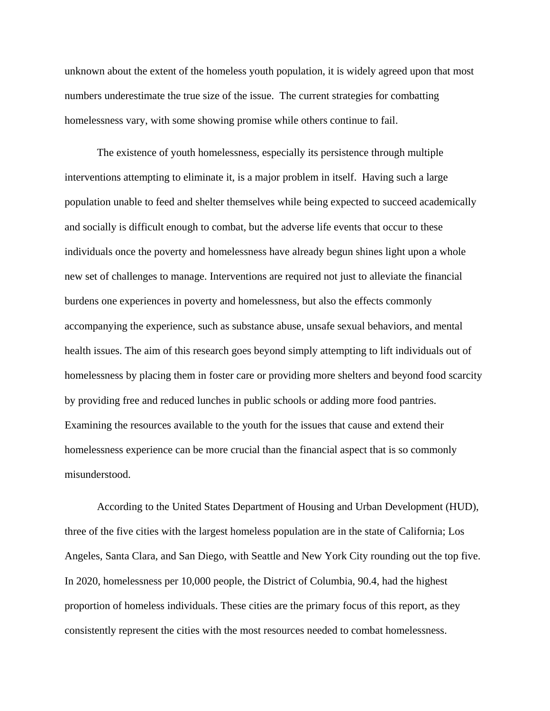unknown about the extent of the homeless youth population, it is widely agreed upon that most numbers underestimate the true size of the issue. The current strategies for combatting homelessness vary, with some showing promise while others continue to fail.

The existence of youth homelessness, especially its persistence through multiple interventions attempting to eliminate it, is a major problem in itself. Having such a large population unable to feed and shelter themselves while being expected to succeed academically and socially is difficult enough to combat, but the adverse life events that occur to these individuals once the poverty and homelessness have already begun shines light upon a whole new set of challenges to manage. Interventions are required not just to alleviate the financial burdens one experiences in poverty and homelessness, but also the effects commonly accompanying the experience, such as substance abuse, unsafe sexual behaviors, and mental health issues. The aim of this research goes beyond simply attempting to lift individuals out of homelessness by placing them in foster care or providing more shelters and beyond food scarcity by providing free and reduced lunches in public schools or adding more food pantries. Examining the resources available to the youth for the issues that cause and extend their homelessness experience can be more crucial than the financial aspect that is so commonly misunderstood.

According to the United States Department of Housing and Urban Development (HUD), three of the five cities with the largest homeless population are in the state of California; Los Angeles, Santa Clara, and San Diego, with Seattle and New York City rounding out the top five. In 2020, homelessness per 10,000 people, the District of Columbia, 90.4, had the highest proportion of homeless individuals. These cities are the primary focus of this report, as they consistently represent the cities with the most resources needed to combat homelessness.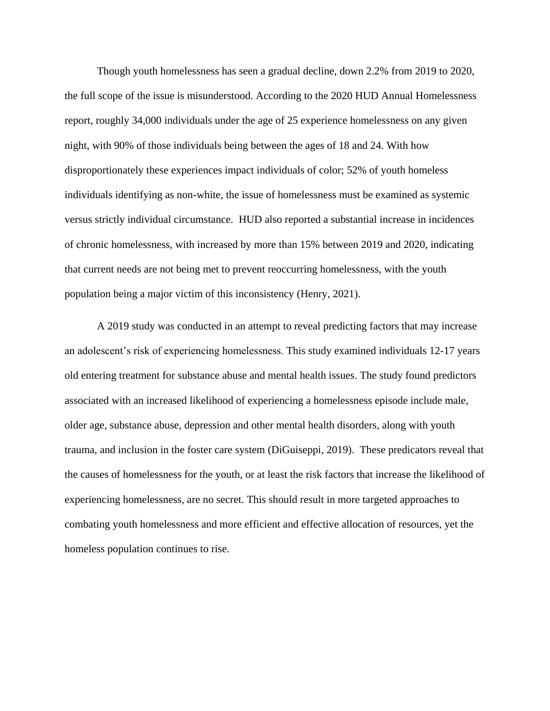Though youth homelessness has seen a gradual decline, down 2.2% from 2019 to 2020, the full scope of the issue is misunderstood. According to the 2020 HUD Annual Homelessness report, roughly 34,000 individuals under the age of 25 experience homelessness on any given night, with 90% of those individuals being between the ages of 18 and 24. With how disproportionately these experiences impact individuals of color; 52% of youth homeless individuals identifying as non-white, the issue of homelessness must be examined as systemic versus strictly individual circumstance. HUD also reported a substantial increase in incidences of chronic homelessness, with increased by more than 15% between 2019 and 2020, indicating that current needs are not being met to prevent reoccurring homelessness, with the youth population being a major victim of this inconsistency (Henry, 2021).

A 2019 study was conducted in an attempt to reveal predicting factors that may increase an adolescent's risk of experiencing homelessness. This study examined individuals 12-17 years old entering treatment for substance abuse and mental health issues. The study found predictors associated with an increased likelihood of experiencing a homelessness episode include male, older age, substance abuse, depression and other mental health disorders, along with youth trauma, and inclusion in the foster care system (DiGuiseppi, 2019). These predicators reveal that the causes of homelessness for the youth, or at least the risk factors that increase the likelihood of experiencing homelessness, are no secret. This should result in more targeted approaches to combating youth homelessness and more efficient and effective allocation of resources, yet the homeless population continues to rise.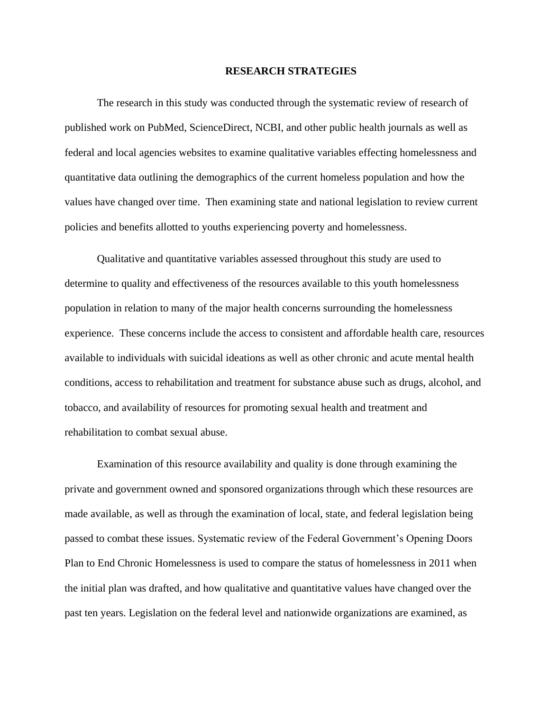#### **RESEARCH STRATEGIES**

The research in this study was conducted through the systematic review of research of published work on PubMed, ScienceDirect, NCBI, and other public health journals as well as federal and local agencies websites to examine qualitative variables effecting homelessness and quantitative data outlining the demographics of the current homeless population and how the values have changed over time. Then examining state and national legislation to review current policies and benefits allotted to youths experiencing poverty and homelessness.

Qualitative and quantitative variables assessed throughout this study are used to determine to quality and effectiveness of the resources available to this youth homelessness population in relation to many of the major health concerns surrounding the homelessness experience. These concerns include the access to consistent and affordable health care, resources available to individuals with suicidal ideations as well as other chronic and acute mental health conditions, access to rehabilitation and treatment for substance abuse such as drugs, alcohol, and tobacco, and availability of resources for promoting sexual health and treatment and rehabilitation to combat sexual abuse.

Examination of this resource availability and quality is done through examining the private and government owned and sponsored organizations through which these resources are made available, as well as through the examination of local, state, and federal legislation being passed to combat these issues. Systematic review of the Federal Government's Opening Doors Plan to End Chronic Homelessness is used to compare the status of homelessness in 2011 when the initial plan was drafted, and how qualitative and quantitative values have changed over the past ten years. Legislation on the federal level and nationwide organizations are examined, as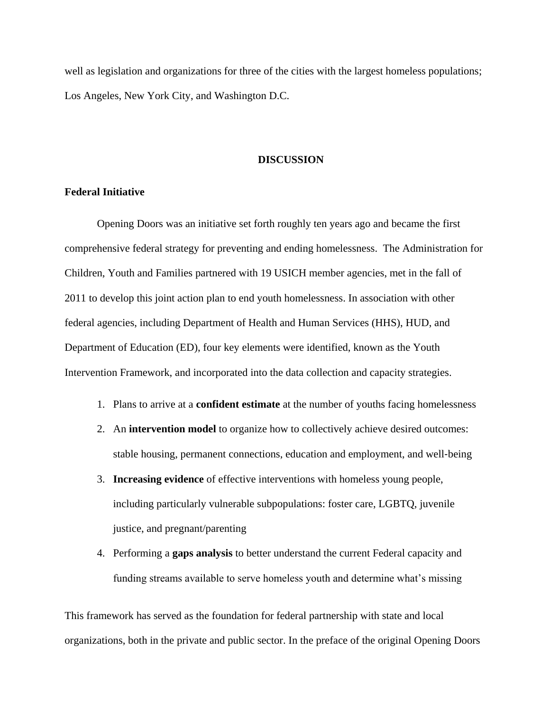well as legislation and organizations for three of the cities with the largest homeless populations; Los Angeles, New York City, and Washington D.C.

#### **DISCUSSION**

#### **Federal Initiative**

Opening Doors was an initiative set forth roughly ten years ago and became the first comprehensive federal strategy for preventing and ending homelessness. The Administration for Children, Youth and Families partnered with 19 USICH member agencies, met in the fall of 2011 to develop this joint action plan to end youth homelessness. In association with other federal agencies, including Department of Health and Human Services (HHS), HUD, and Department of Education (ED), four key elements were identified, known as the Youth Intervention Framework, and incorporated into the data collection and capacity strategies.

- 1. Plans to arrive at a **confident estimate** at the number of youths facing homelessness
- 2. An **intervention model** to organize how to collectively achieve desired outcomes: stable housing, permanent connections, education and employment, and well‐being
- 3. **Increasing evidence** of effective interventions with homeless young people, including particularly vulnerable subpopulations: foster care, LGBTQ, juvenile justice, and pregnant/parenting
- 4. Performing a **gaps analysis** to better understand the current Federal capacity and funding streams available to serve homeless youth and determine what's missing

This framework has served as the foundation for federal partnership with state and local organizations, both in the private and public sector. In the preface of the original Opening Doors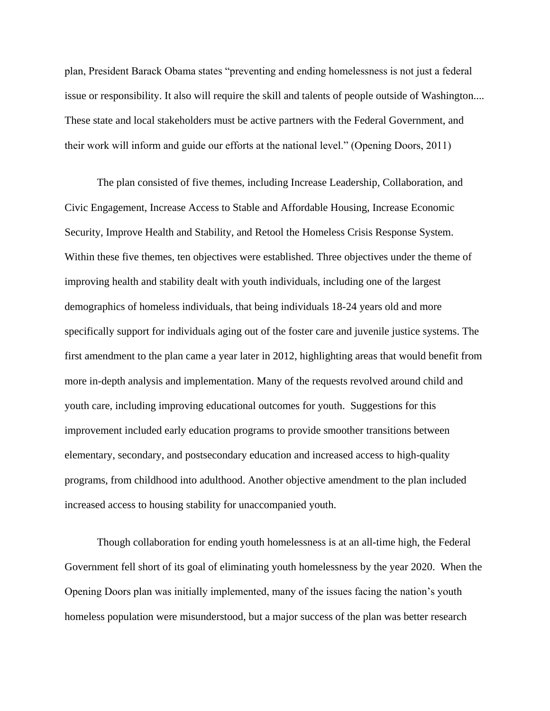plan, President Barack Obama states "preventing and ending homelessness is not just a federal issue or responsibility. It also will require the skill and talents of people outside of Washington.... These state and local stakeholders must be active partners with the Federal Government, and their work will inform and guide our efforts at the national level." (Opening Doors, 2011)

The plan consisted of five themes, including Increase Leadership, Collaboration, and Civic Engagement, Increase Access to Stable and Affordable Housing, Increase Economic Security, Improve Health and Stability, and Retool the Homeless Crisis Response System. Within these five themes, ten objectives were established. Three objectives under the theme of improving health and stability dealt with youth individuals, including one of the largest demographics of homeless individuals, that being individuals 18-24 years old and more specifically support for individuals aging out of the foster care and juvenile justice systems. The first amendment to the plan came a year later in 2012, highlighting areas that would benefit from more in-depth analysis and implementation. Many of the requests revolved around child and youth care, including improving educational outcomes for youth. Suggestions for this improvement included early education programs to provide smoother transitions between elementary, secondary, and postsecondary education and increased access to high-quality programs, from childhood into adulthood. Another objective amendment to the plan included increased access to housing stability for unaccompanied youth.

Though collaboration for ending youth homelessness is at an all-time high, the Federal Government fell short of its goal of eliminating youth homelessness by the year 2020. When the Opening Doors plan was initially implemented, many of the issues facing the nation's youth homeless population were misunderstood, but a major success of the plan was better research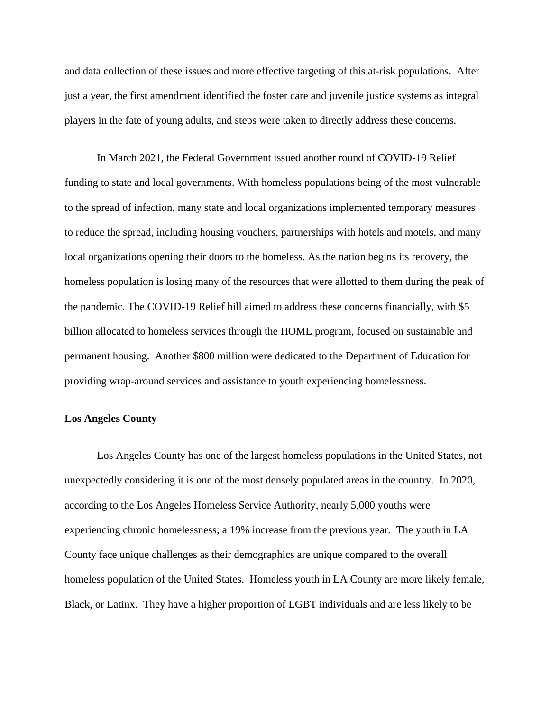and data collection of these issues and more effective targeting of this at-risk populations. After just a year, the first amendment identified the foster care and juvenile justice systems as integral players in the fate of young adults, and steps were taken to directly address these concerns.

In March 2021, the Federal Government issued another round of COVID-19 Relief funding to state and local governments. With homeless populations being of the most vulnerable to the spread of infection, many state and local organizations implemented temporary measures to reduce the spread, including housing vouchers, partnerships with hotels and motels, and many local organizations opening their doors to the homeless. As the nation begins its recovery, the homeless population is losing many of the resources that were allotted to them during the peak of the pandemic. The COVID-19 Relief bill aimed to address these concerns financially, with \$5 billion allocated to homeless services through the HOME program, focused on sustainable and permanent housing. Another \$800 million were dedicated to the Department of Education for providing wrap-around services and assistance to youth experiencing homelessness.

#### **Los Angeles County**

Los Angeles County has one of the largest homeless populations in the United States, not unexpectedly considering it is one of the most densely populated areas in the country. In 2020, according to the Los Angeles Homeless Service Authority, nearly 5,000 youths were experiencing chronic homelessness; a 19% increase from the previous year. The youth in LA County face unique challenges as their demographics are unique compared to the overall homeless population of the United States. Homeless youth in LA County are more likely female, Black, or Latinx. They have a higher proportion of LGBT individuals and are less likely to be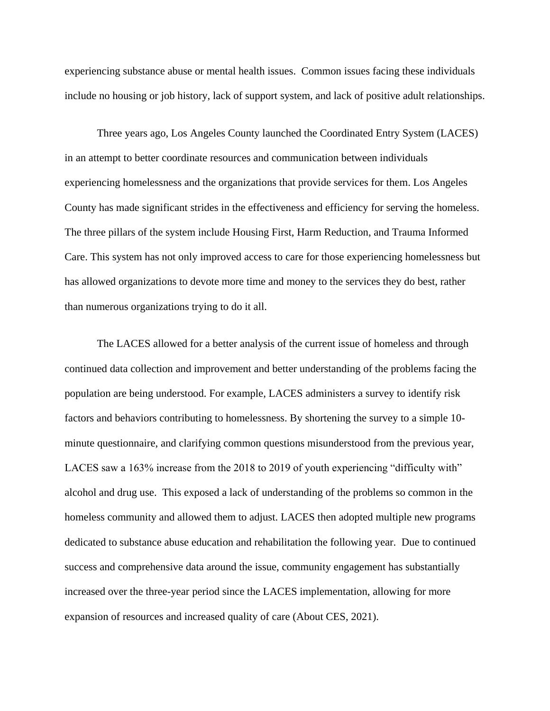experiencing substance abuse or mental health issues. Common issues facing these individuals include no housing or job history, lack of support system, and lack of positive adult relationships.

Three years ago, Los Angeles County launched the Coordinated Entry System (LACES) in an attempt to better coordinate resources and communication between individuals experiencing homelessness and the organizations that provide services for them. Los Angeles County has made significant strides in the effectiveness and efficiency for serving the homeless. The three pillars of the system include Housing First, Harm Reduction, and Trauma Informed Care. This system has not only improved access to care for those experiencing homelessness but has allowed organizations to devote more time and money to the services they do best, rather than numerous organizations trying to do it all.

The LACES allowed for a better analysis of the current issue of homeless and through continued data collection and improvement and better understanding of the problems facing the population are being understood. For example, LACES administers a survey to identify risk factors and behaviors contributing to homelessness. By shortening the survey to a simple 10 minute questionnaire, and clarifying common questions misunderstood from the previous year, LACES saw a 163% increase from the 2018 to 2019 of youth experiencing "difficulty with" alcohol and drug use. This exposed a lack of understanding of the problems so common in the homeless community and allowed them to adjust. LACES then adopted multiple new programs dedicated to substance abuse education and rehabilitation the following year. Due to continued success and comprehensive data around the issue, community engagement has substantially increased over the three-year period since the LACES implementation, allowing for more expansion of resources and increased quality of care (About CES, 2021).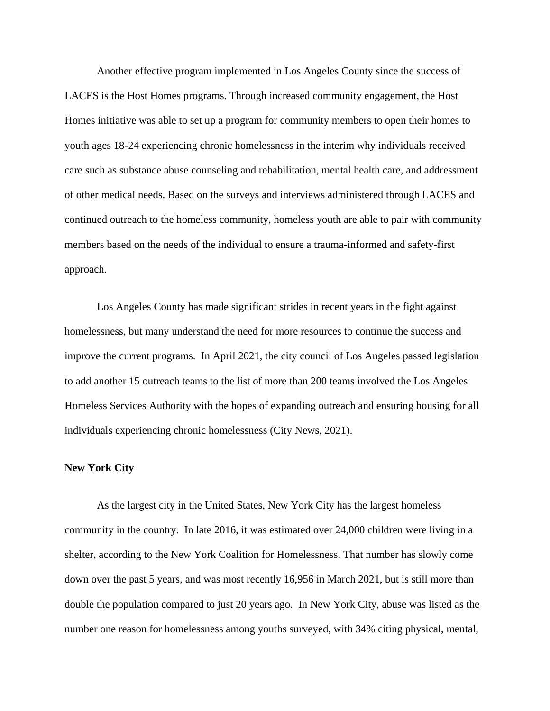Another effective program implemented in Los Angeles County since the success of LACES is the Host Homes programs. Through increased community engagement, the Host Homes initiative was able to set up a program for community members to open their homes to youth ages 18-24 experiencing chronic homelessness in the interim why individuals received care such as substance abuse counseling and rehabilitation, mental health care, and addressment of other medical needs. Based on the surveys and interviews administered through LACES and continued outreach to the homeless community, homeless youth are able to pair with community members based on the needs of the individual to ensure a trauma-informed and safety-first approach.

Los Angeles County has made significant strides in recent years in the fight against homelessness, but many understand the need for more resources to continue the success and improve the current programs. In April 2021, the city council of Los Angeles passed legislation to add another 15 outreach teams to the list of more than 200 teams involved the Los Angeles Homeless Services Authority with the hopes of expanding outreach and ensuring housing for all individuals experiencing chronic homelessness (City News, 2021).

### **New York City**

As the largest city in the United States, New York City has the largest homeless community in the country. In late 2016, it was estimated over 24,000 children were living in a shelter, according to the New York Coalition for Homelessness. That number has slowly come down over the past 5 years, and was most recently 16,956 in March 2021, but is still more than double the population compared to just 20 years ago. In New York City, abuse was listed as the number one reason for homelessness among youths surveyed, with 34% citing physical, mental,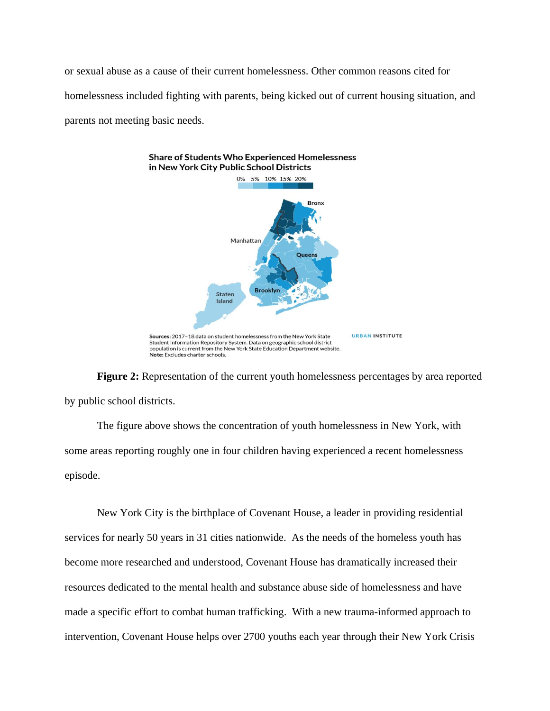or sexual abuse as a cause of their current homelessness. Other common reasons cited for homelessness included fighting with parents, being kicked out of current housing situation, and parents not meeting basic needs.



**Figure 2:** Representation of the current youth homelessness percentages by area reported by public school districts.

The figure above shows the concentration of youth homelessness in New York, with some areas reporting roughly one in four children having experienced a recent homelessness episode.

New York City is the birthplace of Covenant House, a leader in providing residential services for nearly 50 years in 31 cities nationwide. As the needs of the homeless youth has become more researched and understood, Covenant House has dramatically increased their resources dedicated to the mental health and substance abuse side of homelessness and have made a specific effort to combat human trafficking. With a new trauma-informed approach to intervention, Covenant House helps over 2700 youths each year through their New York Crisis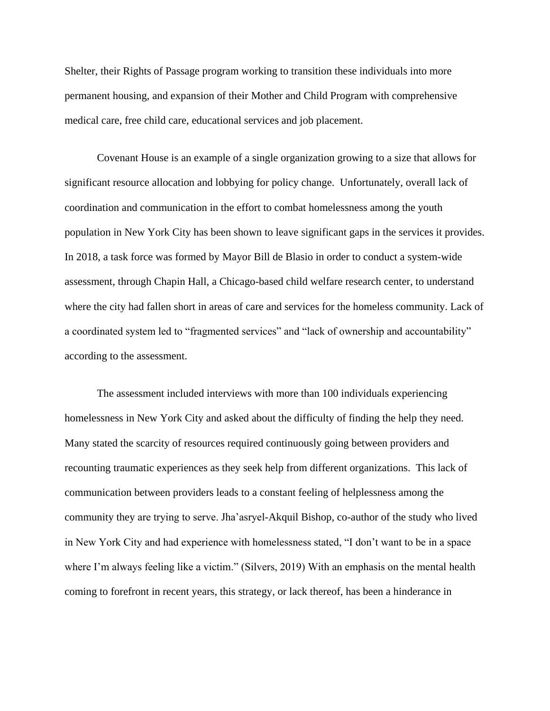Shelter, their Rights of Passage program working to transition these individuals into more permanent housing, and expansion of their Mother and Child Program with comprehensive medical care, free child care, educational services and job placement.

Covenant House is an example of a single organization growing to a size that allows for significant resource allocation and lobbying for policy change. Unfortunately, overall lack of coordination and communication in the effort to combat homelessness among the youth population in New York City has been shown to leave significant gaps in the services it provides. In 2018, a task force was formed by Mayor Bill de Blasio in order to conduct a system-wide assessment, through Chapin Hall, a Chicago-based child welfare research center, to understand where the city had fallen short in areas of care and services for the homeless community. Lack of a coordinated system led to "fragmented services" and "lack of ownership and accountability" according to the assessment.

The assessment included interviews with more than 100 individuals experiencing homelessness in New York City and asked about the difficulty of finding the help they need. Many stated the scarcity of resources required continuously going between providers and recounting traumatic experiences as they seek help from different organizations. This lack of communication between providers leads to a constant feeling of helplessness among the community they are trying to serve. Jha'asryel-Akquil Bishop, co-author of the study who lived in New York City and had experience with homelessness stated, "I don't want to be in a space where I'm always feeling like a victim." (Silvers, 2019) With an emphasis on the mental health coming to forefront in recent years, this strategy, or lack thereof, has been a hinderance in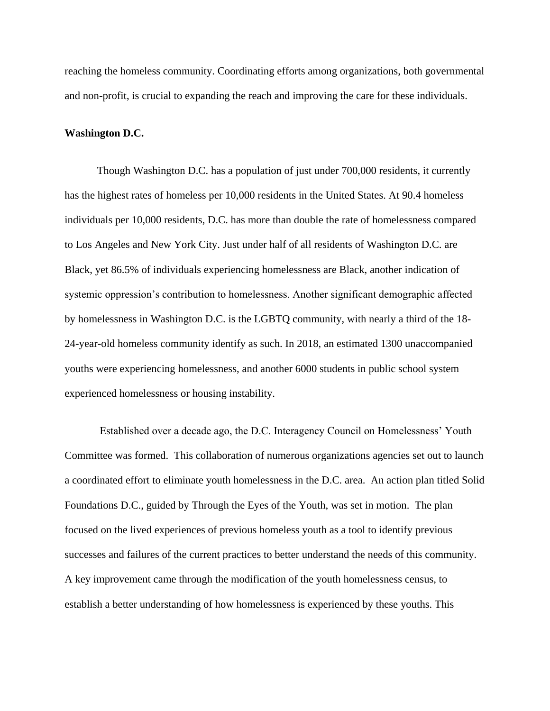reaching the homeless community. Coordinating efforts among organizations, both governmental and non-profit, is crucial to expanding the reach and improving the care for these individuals.

## **Washington D.C.**

Though Washington D.C. has a population of just under 700,000 residents, it currently has the highest rates of homeless per 10,000 residents in the United States. At 90.4 homeless individuals per 10,000 residents, D.C. has more than double the rate of homelessness compared to Los Angeles and New York City. Just under half of all residents of Washington D.C. are Black, yet 86.5% of individuals experiencing homelessness are Black, another indication of systemic oppression's contribution to homelessness. Another significant demographic affected by homelessness in Washington D.C. is the LGBTQ community, with nearly a third of the 18- 24-year-old homeless community identify as such. In 2018, an estimated 1300 unaccompanied youths were experiencing homelessness, and another 6000 students in public school system experienced homelessness or housing instability.

Established over a decade ago, the D.C. Interagency Council on Homelessness' Youth Committee was formed. This collaboration of numerous organizations agencies set out to launch a coordinated effort to eliminate youth homelessness in the D.C. area. An action plan titled Solid Foundations D.C., guided by Through the Eyes of the Youth, was set in motion. The plan focused on the lived experiences of previous homeless youth as a tool to identify previous successes and failures of the current practices to better understand the needs of this community. A key improvement came through the modification of the youth homelessness census, to establish a better understanding of how homelessness is experienced by these youths. This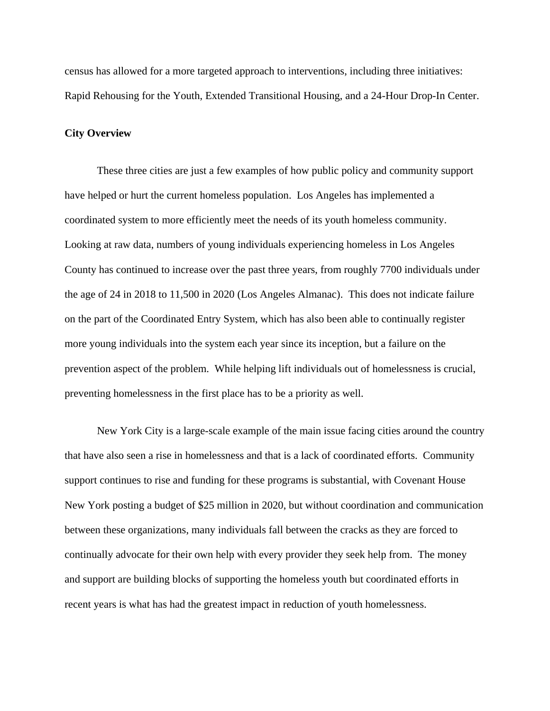census has allowed for a more targeted approach to interventions, including three initiatives: Rapid Rehousing for the Youth, Extended Transitional Housing, and a 24-Hour Drop-In Center.

# **City Overview**

These three cities are just a few examples of how public policy and community support have helped or hurt the current homeless population. Los Angeles has implemented a coordinated system to more efficiently meet the needs of its youth homeless community. Looking at raw data, numbers of young individuals experiencing homeless in Los Angeles County has continued to increase over the past three years, from roughly 7700 individuals under the age of 24 in 2018 to 11,500 in 2020 (Los Angeles Almanac). This does not indicate failure on the part of the Coordinated Entry System, which has also been able to continually register more young individuals into the system each year since its inception, but a failure on the prevention aspect of the problem. While helping lift individuals out of homelessness is crucial, preventing homelessness in the first place has to be a priority as well.

New York City is a large-scale example of the main issue facing cities around the country that have also seen a rise in homelessness and that is a lack of coordinated efforts. Community support continues to rise and funding for these programs is substantial, with Covenant House New York posting a budget of \$25 million in 2020, but without coordination and communication between these organizations, many individuals fall between the cracks as they are forced to continually advocate for their own help with every provider they seek help from. The money and support are building blocks of supporting the homeless youth but coordinated efforts in recent years is what has had the greatest impact in reduction of youth homelessness.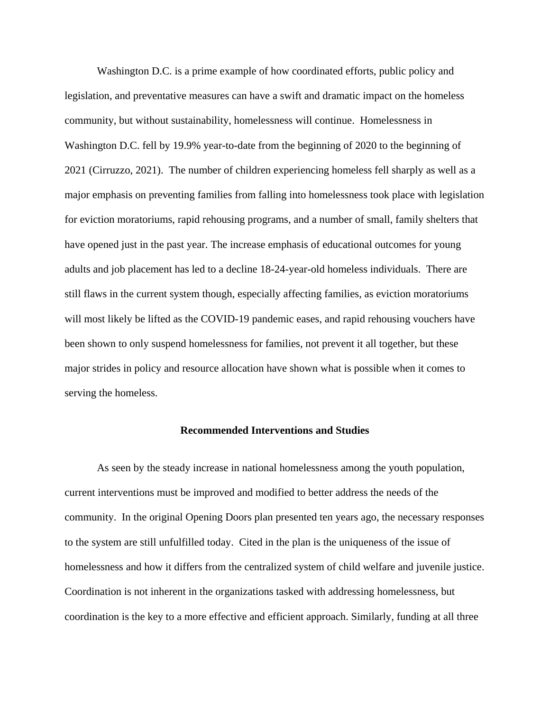Washington D.C. is a prime example of how coordinated efforts, public policy and legislation, and preventative measures can have a swift and dramatic impact on the homeless community, but without sustainability, homelessness will continue. Homelessness in Washington D.C. fell by 19.9% year-to-date from the beginning of 2020 to the beginning of 2021 (Cirruzzo, 2021). The number of children experiencing homeless fell sharply as well as a major emphasis on preventing families from falling into homelessness took place with legislation for eviction moratoriums, rapid rehousing programs, and a number of small, family shelters that have opened just in the past year. The increase emphasis of educational outcomes for young adults and job placement has led to a decline 18-24-year-old homeless individuals. There are still flaws in the current system though, especially affecting families, as eviction moratoriums will most likely be lifted as the COVID-19 pandemic eases, and rapid rehousing vouchers have been shown to only suspend homelessness for families, not prevent it all together, but these major strides in policy and resource allocation have shown what is possible when it comes to serving the homeless.

#### **Recommended Interventions and Studies**

As seen by the steady increase in national homelessness among the youth population, current interventions must be improved and modified to better address the needs of the community. In the original Opening Doors plan presented ten years ago, the necessary responses to the system are still unfulfilled today. Cited in the plan is the uniqueness of the issue of homelessness and how it differs from the centralized system of child welfare and juvenile justice. Coordination is not inherent in the organizations tasked with addressing homelessness, but coordination is the key to a more effective and efficient approach. Similarly, funding at all three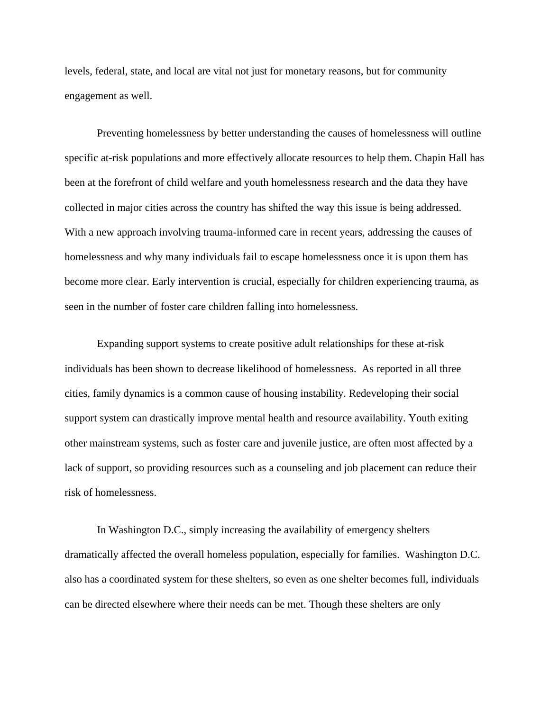levels, federal, state, and local are vital not just for monetary reasons, but for community engagement as well.

Preventing homelessness by better understanding the causes of homelessness will outline specific at-risk populations and more effectively allocate resources to help them. Chapin Hall has been at the forefront of child welfare and youth homelessness research and the data they have collected in major cities across the country has shifted the way this issue is being addressed. With a new approach involving trauma-informed care in recent years, addressing the causes of homelessness and why many individuals fail to escape homelessness once it is upon them has become more clear. Early intervention is crucial, especially for children experiencing trauma, as seen in the number of foster care children falling into homelessness.

Expanding support systems to create positive adult relationships for these at-risk individuals has been shown to decrease likelihood of homelessness. As reported in all three cities, family dynamics is a common cause of housing instability. Redeveloping their social support system can drastically improve mental health and resource availability. Youth exiting other mainstream systems, such as foster care and juvenile justice, are often most affected by a lack of support, so providing resources such as a counseling and job placement can reduce their risk of homelessness.

In Washington D.C., simply increasing the availability of emergency shelters dramatically affected the overall homeless population, especially for families. Washington D.C. also has a coordinated system for these shelters, so even as one shelter becomes full, individuals can be directed elsewhere where their needs can be met. Though these shelters are only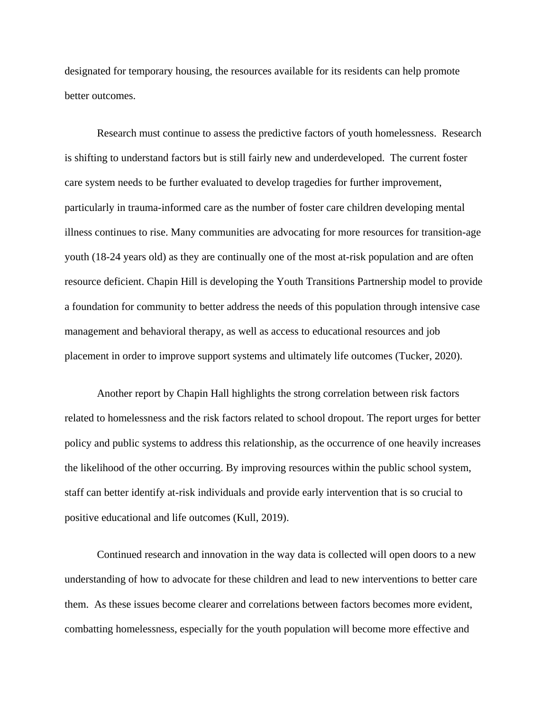designated for temporary housing, the resources available for its residents can help promote better outcomes.

Research must continue to assess the predictive factors of youth homelessness. Research is shifting to understand factors but is still fairly new and underdeveloped. The current foster care system needs to be further evaluated to develop tragedies for further improvement, particularly in trauma-informed care as the number of foster care children developing mental illness continues to rise. Many communities are advocating for more resources for transition-age youth (18-24 years old) as they are continually one of the most at-risk population and are often resource deficient. Chapin Hill is developing the Youth Transitions Partnership model to provide a foundation for community to better address the needs of this population through intensive case management and behavioral therapy, as well as access to educational resources and job placement in order to improve support systems and ultimately life outcomes (Tucker, 2020).

Another report by Chapin Hall highlights the strong correlation between risk factors related to homelessness and the risk factors related to school dropout. The report urges for better policy and public systems to address this relationship, as the occurrence of one heavily increases the likelihood of the other occurring. By improving resources within the public school system, staff can better identify at-risk individuals and provide early intervention that is so crucial to positive educational and life outcomes (Kull, 2019).

Continued research and innovation in the way data is collected will open doors to a new understanding of how to advocate for these children and lead to new interventions to better care them. As these issues become clearer and correlations between factors becomes more evident, combatting homelessness, especially for the youth population will become more effective and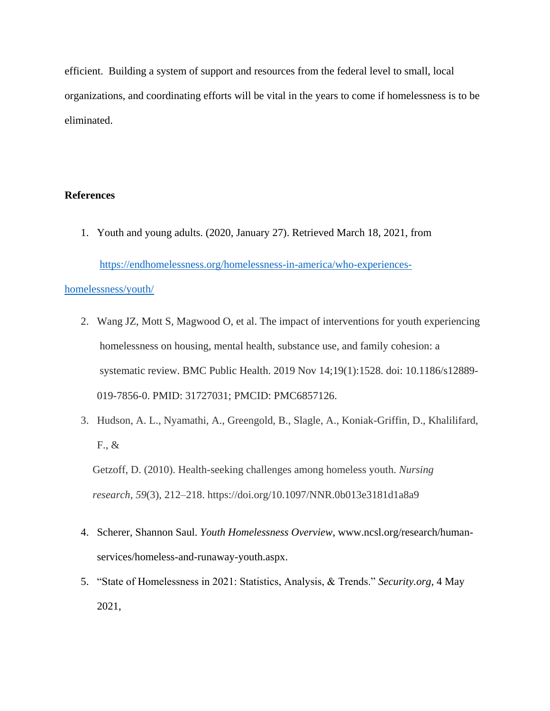efficient. Building a system of support and resources from the federal level to small, local organizations, and coordinating efforts will be vital in the years to come if homelessness is to be eliminated.

# **References**

1. Youth and young adults. (2020, January 27). Retrieved March 18, 2021, from

[https://endhomelessness.org/homelessness-in-america/who-experiences-](https://endhomelessness.org/homelessness-in-america/who-experiences-homelessness/youth/)

## [homelessness/youth/](https://endhomelessness.org/homelessness-in-america/who-experiences-homelessness/youth/)

- 2. Wang JZ, Mott S, Magwood O, et al. The impact of interventions for youth experiencing homelessness on housing, mental health, substance use, and family cohesion: a systematic review. BMC Public Health. 2019 Nov 14;19(1):1528. doi: 10.1186/s12889- 019-7856-0. PMID: 31727031; PMCID: PMC6857126.
- 3. Hudson, A. L., Nyamathi, A., Greengold, B., Slagle, A., Koniak-Griffin, D., Khalilifard, F., &

Getzoff, D. (2010). Health-seeking challenges among homeless youth. *Nursing research*, *59*(3), 212–218. https://doi.org/10.1097/NNR.0b013e3181d1a8a9

- 4. Scherer, Shannon Saul. *Youth Homelessness Overview*, www.ncsl.org/research/humanservices/homeless-and-runaway-youth.aspx.
- 5. "State of Homelessness in 2021: Statistics, Analysis, & Trends." *Security.org*, 4 May 2021,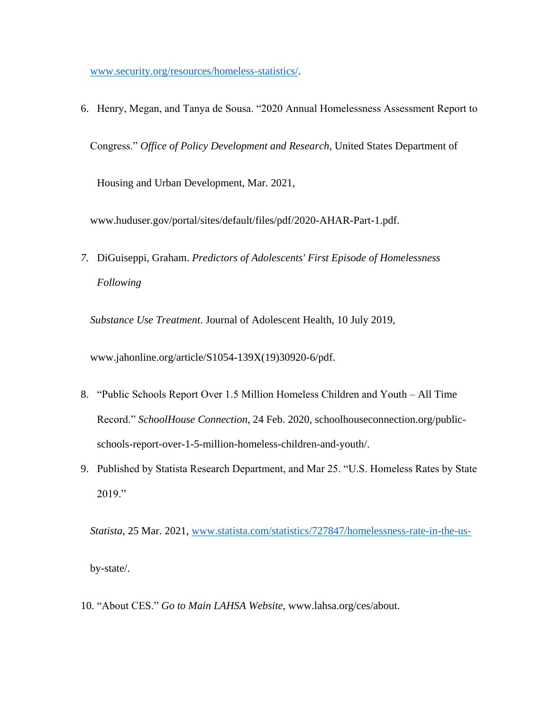[www.security.org/resources/homeless-statistics/.](http://www.security.org/resources/homeless-statistics/)

6. Henry, Megan, and Tanya de Sousa. "2020 Annual Homelessness Assessment Report to Congress." *Office of Policy Development and Research*, United States Department of Housing and Urban Development, Mar. 2021,

www.huduser.gov/portal/sites/default/files/pdf/2020-AHAR-Part-1.pdf.

*7.* DiGuiseppi, Graham. *Predictors of Adolescents' First Episode of Homelessness Following* 

*Substance Use Treatment*. Journal of Adolescent Health, 10 July 2019,

www.jahonline.org/article/S1054-139X(19)30920-6/pdf.

- 8. "Public Schools Report Over 1.5 Million Homeless Children and Youth All Time Record." *SchoolHouse Connection*, 24 Feb. 2020, schoolhouseconnection.org/publicschools-report-over-1-5-million-homeless-children-and-youth/.
- 9. Published by Statista Research Department, and Mar 25. "U.S. Homeless Rates by State 2019."

*Statista*, 25 Mar. 2021, [www.statista.com/statistics/727847/homelessness-rate-in-the-us](http://www.statista.com/statistics/727847/homelessness-rate-in-the-us-)by-state/.

10. "About CES." *Go to Main LAHSA Website*, www.lahsa.org/ces/about.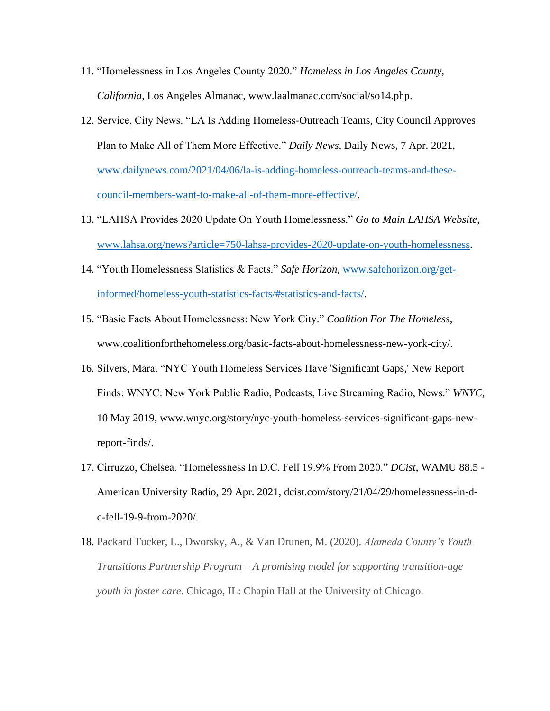- 11. "Homelessness in Los Angeles County 2020." *Homeless in Los Angeles County, California*, Los Angeles Almanac, www.laalmanac.com/social/so14.php.
- 12. Service, City News. "LA Is Adding Homeless-Outreach Teams, City Council Approves Plan to Make All of Them More Effective." *Daily News*, Daily News, 7 Apr. 2021, [www.dailynews.com/2021/04/06/la-is-adding-homeless-outreach-teams-and-these](http://www.dailynews.com/2021/04/06/la-is-adding-homeless-outreach-teams-and-these-council-members-want-to-make-all-of-them-more-effective/)[council-members-want-to-make-all-of-them-more-effective/.](http://www.dailynews.com/2021/04/06/la-is-adding-homeless-outreach-teams-and-these-council-members-want-to-make-all-of-them-more-effective/)
- 13. "LAHSA Provides 2020 Update On Youth Homelessness." *Go to Main LAHSA Website*, [www.lahsa.org/news?article=750-lahsa-provides-2020-update-on-youth-homelessness.](http://www.lahsa.org/news?article=750-lahsa-provides-2020-update-on-youth-homelessness)
- 14. "Youth Homelessness Statistics & Facts." *Safe Horizon*, [www.safehorizon.org/get](http://www.safehorizon.org/get-informed/homeless-youth-statistics-facts/#statistics-and-facts/)[informed/homeless-youth-statistics-facts/#statistics-and-facts/.](http://www.safehorizon.org/get-informed/homeless-youth-statistics-facts/#statistics-and-facts/)
- 15. "Basic Facts About Homelessness: New York City." *Coalition For The Homeless*, www.coalitionforthehomeless.org/basic-facts-about-homelessness-new-york-city/.
- 16. Silvers, Mara. "NYC Youth Homeless Services Have 'Significant Gaps,' New Report Finds: WNYC: New York Public Radio, Podcasts, Live Streaming Radio, News." *WNYC*, 10 May 2019, www.wnyc.org/story/nyc-youth-homeless-services-significant-gaps-newreport-finds/.
- 17. Cirruzzo, Chelsea. "Homelessness In D.C. Fell 19.9% From 2020." *DCist*, WAMU 88.5 American University Radio, 29 Apr. 2021, dcist.com/story/21/04/29/homelessness-in-dc-fell-19-9-from-2020/.
- 18. Packard Tucker, L., Dworsky, A., & Van Drunen, M. (2020). *Alameda County's Youth Transitions Partnership Program – A promising model for supporting transition-age youth in foster care*. Chicago, IL: Chapin Hall at the University of Chicago.